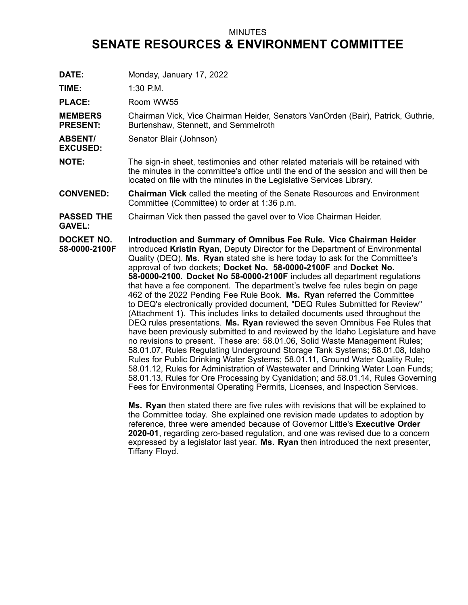## MINUTES **SENATE RESOURCES & ENVIRONMENT COMMITTEE**

| DATE:<br>TIME:                     | Monday, January 17, 2022<br>$1:30$ P.M.                                                                                                                                                                                                                                                                                                                                                                                                                                                                                                                                                                                                                                                                                                                                                                                                                                                                                                                                                                                                                                                                                                                                                                                                                                                                                                                                              |
|------------------------------------|--------------------------------------------------------------------------------------------------------------------------------------------------------------------------------------------------------------------------------------------------------------------------------------------------------------------------------------------------------------------------------------------------------------------------------------------------------------------------------------------------------------------------------------------------------------------------------------------------------------------------------------------------------------------------------------------------------------------------------------------------------------------------------------------------------------------------------------------------------------------------------------------------------------------------------------------------------------------------------------------------------------------------------------------------------------------------------------------------------------------------------------------------------------------------------------------------------------------------------------------------------------------------------------------------------------------------------------------------------------------------------------|
| <b>PLACE:</b>                      | Room WW55                                                                                                                                                                                                                                                                                                                                                                                                                                                                                                                                                                                                                                                                                                                                                                                                                                                                                                                                                                                                                                                                                                                                                                                                                                                                                                                                                                            |
| <b>MEMBERS</b><br><b>PRESENT:</b>  | Chairman Vick, Vice Chairman Heider, Senators VanOrden (Bair), Patrick, Guthrie,<br>Burtenshaw, Stennett, and Semmelroth                                                                                                                                                                                                                                                                                                                                                                                                                                                                                                                                                                                                                                                                                                                                                                                                                                                                                                                                                                                                                                                                                                                                                                                                                                                             |
| <b>ABSENT/</b><br><b>EXCUSED:</b>  | Senator Blair (Johnson)                                                                                                                                                                                                                                                                                                                                                                                                                                                                                                                                                                                                                                                                                                                                                                                                                                                                                                                                                                                                                                                                                                                                                                                                                                                                                                                                                              |
| <b>NOTE:</b>                       | The sign-in sheet, testimonies and other related materials will be retained with<br>the minutes in the committee's office until the end of the session and will then be<br>located on file with the minutes in the Legislative Services Library.                                                                                                                                                                                                                                                                                                                                                                                                                                                                                                                                                                                                                                                                                                                                                                                                                                                                                                                                                                                                                                                                                                                                     |
| <b>CONVENED:</b>                   | <b>Chairman Vick</b> called the meeting of the Senate Resources and Environment<br>Committee (Committee) to order at 1:36 p.m.                                                                                                                                                                                                                                                                                                                                                                                                                                                                                                                                                                                                                                                                                                                                                                                                                                                                                                                                                                                                                                                                                                                                                                                                                                                       |
| <b>PASSED THE</b><br><b>GAVEL:</b> | Chairman Vick then passed the gavel over to Vice Chairman Heider.                                                                                                                                                                                                                                                                                                                                                                                                                                                                                                                                                                                                                                                                                                                                                                                                                                                                                                                                                                                                                                                                                                                                                                                                                                                                                                                    |
| DOCKET NO.<br>58-0000-2100F        | Introduction and Summary of Omnibus Fee Rule. Vice Chairman Heider<br>introduced Kristin Ryan, Deputy Director for the Department of Environmental<br>Quality (DEQ). Ms. Ryan stated she is here today to ask for the Committee's<br>approval of two dockets; Docket No. 58-0000-2100F and Docket No.<br>58-0000-2100. Docket No 58-0000-2100F includes all department regulations<br>that have a fee component. The department's twelve fee rules begin on page<br>462 of the 2022 Pending Fee Rule Book. Ms. Ryan referred the Committee<br>to DEQ's electronically provided document, "DEQ Rules Submitted for Review"<br>(Attachment 1). This includes links to detailed documents used throughout the<br>DEQ rules presentations. Ms. Ryan reviewed the seven Omnibus Fee Rules that<br>have been previously submitted to and reviewed by the Idaho Legislature and have<br>no revisions to present. These are: 58.01.06, Solid Waste Management Rules;<br>58.01.07, Rules Regulating Underground Storage Tank Systems; 58.01.08, Idaho<br>Rules for Public Drinking Water Systems; 58.01.11, Ground Water Quality Rule;<br>58.01.12, Rules for Administration of Wastewater and Drinking Water Loan Funds;<br>58.01.13, Rules for Ore Processing by Cyanidation; and 58.01.14, Rules Governing<br>Fees for Environmental Operating Permits, Licenses, and Inspection Services. |

**Ms. Ryan** then stated there are five rules with revisions that will be explained to the Committee today. She explained one revision made updates to adoption by reference, three were amended because of Governor Little's **Executive Order 2020-01**, regarding zero-based regulation, and one was revised due to <sup>a</sup> concern expressed by <sup>a</sup> legislator last year. **Ms. Ryan** then introduced the next presenter, Tiffany Floyd.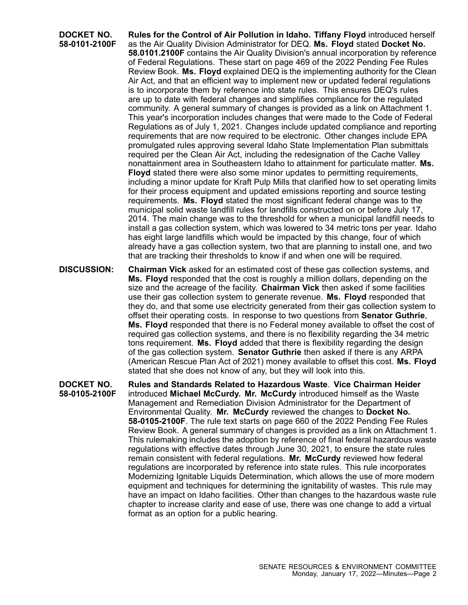**DOCKET NO. 58-0101-2100F Rules for the Control of Air Pollution in Idaho. Tiffany Floyd** introduced herself as the Air Quality Division Administrator for DEQ. **Ms. Floyd** stated **Docket No. 58.0101.2100F** contains the Air Quality Division's annual incorporation by reference of Federal Regulations. These start on page 469 of the 2022 Pending Fee Rules Review Book. **Ms. Floyd** explained DEQ is the implementing authority for the Clean Air Act, and that an efficient way to implement new or updated federal regulations is to incorporate them by reference into state rules. This ensures DEQ's rules are up to date with federal changes and simplifies compliance for the regulated community. A general summary of changes is provided as <sup>a</sup> link on Attachment 1. This year's incorporation includes changes that were made to the Code of Federal Regulations as of July 1, 2021. Changes include updated compliance and reporting requirements that are now required to be electronic. Other changes include EPA promulgated rules approving several Idaho State Implementation Plan submittals required per the Clean Air Act, including the redesignation of the Cache Valley nonattainment area in Southeastern Idaho to attainment for particulate matter. **Ms. Floyd** stated there were also some minor updates to permitting requirements, including <sup>a</sup> minor update for Kraft Pulp Mills that clarified how to set operating limits for their process equipment and updated emissions reporting and source testing requirements. **Ms. Floyd** stated the most significant federal change was to the municipal solid waste landfill rules for landfills constructed on or before July 17, 2014. The main change was to the threshold for when <sup>a</sup> municipal landfill needs to install <sup>a</sup> gas collection system, which was lowered to 34 metric tons per year. Idaho has eight large landfills which would be impacted by this change, four of which already have <sup>a</sup> gas collection system, two that are planning to install one, and two that are tracking their thresholds to know if and when one will be required.

**DISCUSSION: Chairman Vick** asked for an estimated cost of these gas collection systems, and **Ms. Floyd** responded that the cost is roughly <sup>a</sup> million dollars, depending on the size and the acreage of the facility. **Chairman Vick** then asked if some facilities use their gas collection system to generate revenue. **Ms. Floyd** responded that they do, and that some use electricity generated from their gas collection system to offset their operating costs. In response to two questions from **Senator Guthrie**, **Ms. Floyd** responded that there is no Federal money available to offset the cost of required gas collection systems, and there is no flexibility regarding the 34 metric tons requirement. **Ms. Floyd** added that there is flexibility regarding the design of the gas collection system. **Senator Guthrie** then asked if there is any ARPA (American Rescue Plan Act of 2021) money available to offset this cost. **Ms. Floyd** stated that she does not know of any, but they will look into this.

**DOCKET NO. 58-0105-2100F Rules and Standards Related to Hazardous Waste**. **Vice Chairman Heider** introduced **Michael McCurdy. Mr. McCurdy** introduced himself as the Waste Management and Remediation Division Administrator for the Department of Environmental Quality. **Mr. McCurdy** reviewed the changes to **Docket No. 58-0105-2100F**. The rule text starts on page 660 of the 2022 Pending Fee Rules Review Book. A general summary of changes is provided as <sup>a</sup> link on Attachment 1. This rulemaking includes the adoption by reference of final federal hazardous waste regulations with effective dates through June 30, 2021, to ensure the state rules remain consistent with federal regulations. **Mr. McCurdy** reviewed how federal regulations are incorporated by reference into state rules. This rule incorporates Modernizing Ignitable Liquids Determination, which allows the use of more modern equipment and techniques for determining the ignitability of wastes. This rule may have an impact on Idaho facilities. Other than changes to the hazardous waste rule chapter to increase clarity and ease of use, there was one change to add <sup>a</sup> virtual format as an option for <sup>a</sup> public hearing.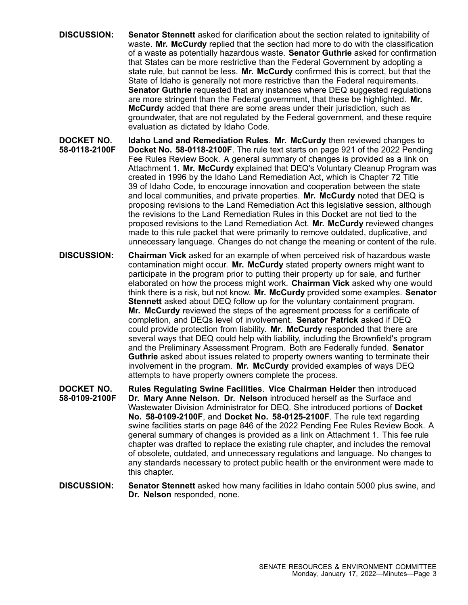- **DISCUSSION: Senator Stennett** asked for clarification about the section related to ignitability of waste. **Mr. McCurdy** replied that the section had more to do with the classification of <sup>a</sup> waste as potentially hazardous waste. **Senator Guthrie** asked for confirmation that States can be more restrictive than the Federal Government by adopting <sup>a</sup> state rule, but cannot be less. **Mr. McCurdy** confirmed this is correct, but that the State of Idaho is generally not more restrictive than the Federal requirements. **Senator Guthrie** requested that any instances where DEQ suggested regulations are more stringent than the Federal government, that these be highlighted. **Mr. McCurdy** added that there are some areas under their jurisdiction, such as groundwater, that are not regulated by the Federal government, and these require evaluation as dictated by Idaho Code.
- **DOCKET NO. 58-0118-2100F Idaho Land and Remediation Rules**. **Mr. McCurdy** then reviewed changes to **Docket No. 58-0118-2100F**. The rule text starts on page 921 of the 2022 Pending Fee Rules Review Book. A general summary of changes is provided as <sup>a</sup> link on Attachment 1. **Mr. McCurdy** explained that DEQ's Voluntary Cleanup Program was created in 1996 by the Idaho Land Remediation Act, which is Chapter 72 Title 39 of Idaho Code, to encourage innovation and cooperation between the state and local communities, and private properties. **Mr. McCurdy** noted that DEQ is proposing revisions to the Land Remediation Act this legislative session, although the revisions to the Land Remediation Rules in this Docket are not tied to the proposed revisions to the Land Remediation Act. **Mr. McCurdy** reviewed changes made to this rule packet that were primarily to remove outdated, duplicative, and unnecessary language. Changes do not change the meaning or content of the rule.
- **DISCUSSION: Chairman Vick** asked for an example of when perceived risk of hazardous waste contamination might occur. **Mr. McCurdy** stated property owners might want to participate in the program prior to putting their property up for sale, and further elaborated on how the process might work. **Chairman Vick** asked why one would think there is <sup>a</sup> risk, but not know. **Mr. McCurdy** provided some examples. **Senator Stennett** asked about DEQ follow up for the voluntary containment program. **Mr. McCurdy** reviewed the steps of the agreement process for <sup>a</sup> certificate of completion, and DEQs level of involvement. **Senator Patrick** asked if DEQ could provide protection from liability. **Mr. McCurdy** responded that there are several ways that DEQ could help with liability, including the Brownfield's program and the Preliminary Assessment Program. Both are Federally funded. **Senator Guthrie** asked about issues related to property owners wanting to terminate their involvement in the program. **Mr. McCurdy** provided examples of ways DEQ attempts to have property owners complete the process.
- **DOCKET NO. 58-0109-2100F Rules Regulating Swine Facilities**. **Vice Chairman Heider** then introduced **Dr. Mary Anne Nelson**. **Dr. Nelson** introduced herself as the Surface and Wastewater Division Administrator for DEQ. She introduced portions of **Docket No. 58-0109-2100F**, and **Docket No. 58-0125-2100F**. The rule text regarding swine facilities starts on page 846 of the 2022 Pending Fee Rules Review Book. A general summary of changes is provided as <sup>a</sup> link on Attachment 1. This fee rule chapter was drafted to replace the existing rule chapter, and includes the removal of obsolete, outdated, and unnecessary regulations and language. No changes to any standards necessary to protect public health or the environment were made to this chapter.
- **DISCUSSION: Senator Stennett** asked how many facilities in Idaho contain 5000 plus swine, and **Dr. Nelson** responded, none.